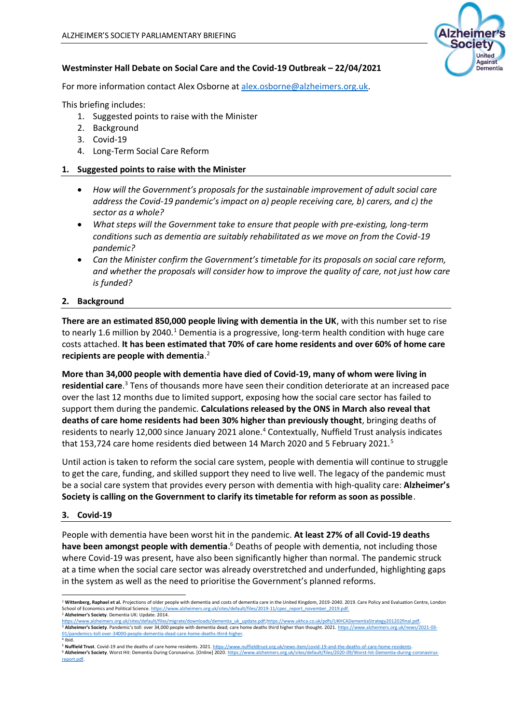

# **Westminster Hall Debate on Social Care and the Covid-19 Outbreak – 22/04/2021**

For more information contact Alex Osborne at [alex.osborne@alzheimers.org.uk.](mailto:alex.osborne@alzheimers.org.uk)

This briefing includes:

- 1. Suggested points to raise with the Minister
- 2. Background
- 3. Covid-19
- 4. Long-Term Social Care Reform

## **1. Suggested points to raise with the Minister**

- *How will the Government's proposals for the sustainable improvement of adult social care address the Covid-19 pandemic's impact on a) people receiving care, b) carers, and c) the sector as a whole?*
- *What steps will the Government take to ensure that people with pre-existing, long-term conditions such as dementia are suitably rehabilitated as we move on from the Covid-19 pandemic?*
- *Can the Minister confirm the Government's timetable for its proposals on social care reform, and whether the proposals will consider how to improve the quality of care, not just how care is funded?*

#### **2. Background**

**There are an estimated 850,000 people living with dementia in the UK**, with this number set to rise to nearly 1.6 million by 2040.<sup>1</sup> Dementia is a progressive, long-term health condition with huge care costs attached. **It has been estimated that 70% of care home residents and over 60% of home care recipients are people with dementia**. 2

**More than 34,000 people with dementia have died of Covid-19, many of whom were living in**  residential care.<sup>3</sup> Tens of thousands more have seen their condition deteriorate at an increased pace over the last 12 months due to limited support, exposing how the social care sector has failed to support them during the pandemic. **Calculations released by the ONS in March also reveal that deaths of care home residents had been 30% higher than previously thought**, bringing deaths of residents to nearly 12,000 since January 2021 alone.<sup>4</sup> Contextually, Nuffield Trust analysis indicates that 153,724 care home residents died between 14 March 2020 and 5 February 2021.<sup>5</sup>

Until action is taken to reform the social care system, people with dementia will continue to struggle to get the care, funding, and skilled support they need to live well. The legacy of the pandemic must be a social care system that provides every person with dementia with high-quality care: **Alzheimer's Society is calling on the Government to clarify its timetable for reform as soon as possible**.

#### **3. Covid-19**

People with dementia have been worst hit in the pandemic. **At least 27% of all Covid-19 deaths**  have been amongst people with dementia.<sup>6</sup> Deaths of people with dementia, not including those where Covid-19 was present, have also been significantly higher than normal. The pandemic struck at a time when the social care sector was already overstretched and underfunded, highlighting gaps in the system as well as the need to prioritise the Government's planned reforms.

<sup>&</sup>lt;sup>1</sup> Wittenberg, Raphael et al. Projections of older people with dementia and costs of dementia care in the United Kingdom, 2019-2040. 2019. Care Policy and Evaluation Centre, London School of Economics and Political Science. https://www.alzheimers.org.uk/sites/default/files/2019-11/cpec\_report\_november\_2019.pdf <sup>2</sup> **Alzheimer's Society**. Dementia UK: Update. 2014.

[https://www.alzheimers.org.uk/sites/default/files/migrate/downloads/dementia\\_uk\\_update.pdf;](https://www.alzheimers.org.uk/sites/default/files/migrate/downloads/dementia_uk_update.pdf)https://www.ukhca.co.uk/pdfs/UKHCADementiaStrategy201202final.pdf <sup>3</sup> **Alzheimer's Society**. Pandemic's toll: over 34,000 people with dementia dead; care home deaths third higher than thought. 2021. [https://www.alzheimers.org.uk/news/2021-03](https://www.alzheimers.org.uk/news/2021-03-01/pandemics-toll-over-34000-people-dementia-dead-care-home-deaths-third-higher) er-34000-people-dementia-dead-care-home-deaths-third-higher. 4 Ibid.

<sup>&</sup>lt;sup>5</sup> Nuffield Trust. Covid-19 and the deaths of care home residents. 2021. https://www.nuffieldtrust.org.uk/news-item/covid-19-and-the-deaths-of-care-home <sup>6</sup> **Alzheimer's Society**. Worst Hit: Dementia During Coronavirus. [Online] 2020[. https://www.alzheimers.org.uk/sites/default/files/2020-09/Worst-hit-Dementia-during-coronavirus](https://www.alzheimers.org.uk/sites/default/files/2020-09/Worst-hit-Dementia-during-coronavirus-report.pdf)[report.pdf.](https://www.alzheimers.org.uk/sites/default/files/2020-09/Worst-hit-Dementia-during-coronavirus-report.pdf)